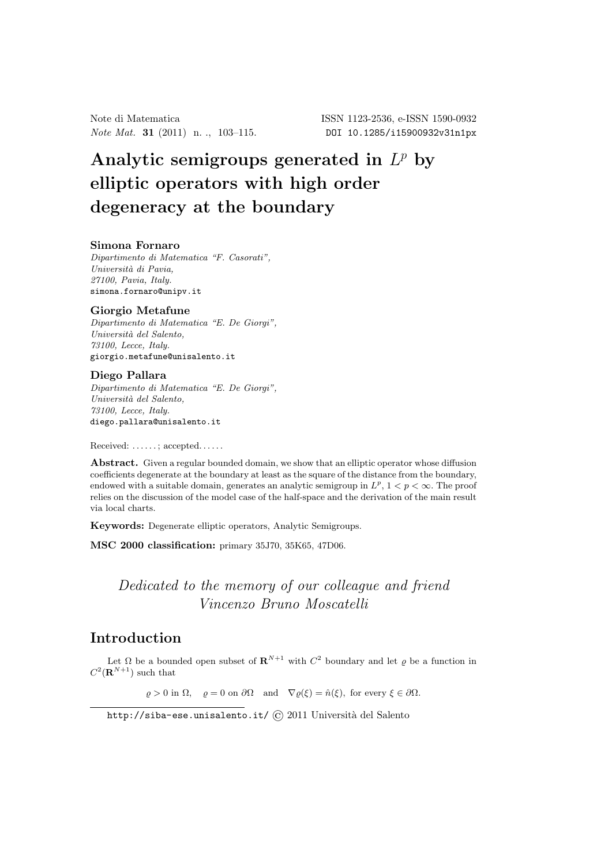*Note Mat.* **31** (2011) n. ., 103-115. DOI 10.1285/i15900932v31n1px

# Analytic semigroups generated in *L<sup>p</sup>* by elliptic operators with high order degeneracy at the boundary

#### Simona Fornaro

*Dipartimento di Matematica "F. Casorati", Universit`a di Pavia, 27100, Pavia, Italy.* simona.fornaro@unipv.it

#### Giorgio Metafune

*Dipartimento di Matematica "E. De Giorgi", Universit`a del Salento, 73100, Lecce, Italy.* giorgio.metafune@unisalento.it

#### Diego Pallara

*Dipartimento di Matematica "E. De Giorgi", Universit`a del Salento, 73100, Lecce, Italy.* diego.pallara@unisalento.it

Received: ......; accepted......

Abstract. Given a regular bounded domain, we show that an elliptic operator whose diffusion coefficients degenerate at the boundary at least as the square of the distance from the boundary, endowed with a suitable domain, generates an analytic semigroup in  $L^p$ ,  $1 < p < \infty$ . The proof relies on the discussion of the model case of the half-space and the derivation of the main result via local charts.

Keywords: Degenerate elliptic operators, Analytic Semigroups.

MSC 2000 classification: primary 35J70, 35K65, 47D06.

# *Dedicated to the memory of our colleague and friend Vincenzo Bruno Moscatelli*

# Introduction

Let  $\Omega$  be a bounded open subset of  $\mathbf{R}^{N+1}$  with  $C^2$  boundary and let  $\rho$  be a function in  $C^2(\mathbf{R}^{N+1})$  such that

 $\varrho > 0$  in  $\Omega$ ,  $\rho = 0$  on  $\partial \Omega$  and  $\nabla \varrho(\xi) = \hat{n}(\xi)$ , for every  $\xi \in \partial \Omega$ .

http://siba-ese.unisalento.it/ $\odot$  2011 Università del Salento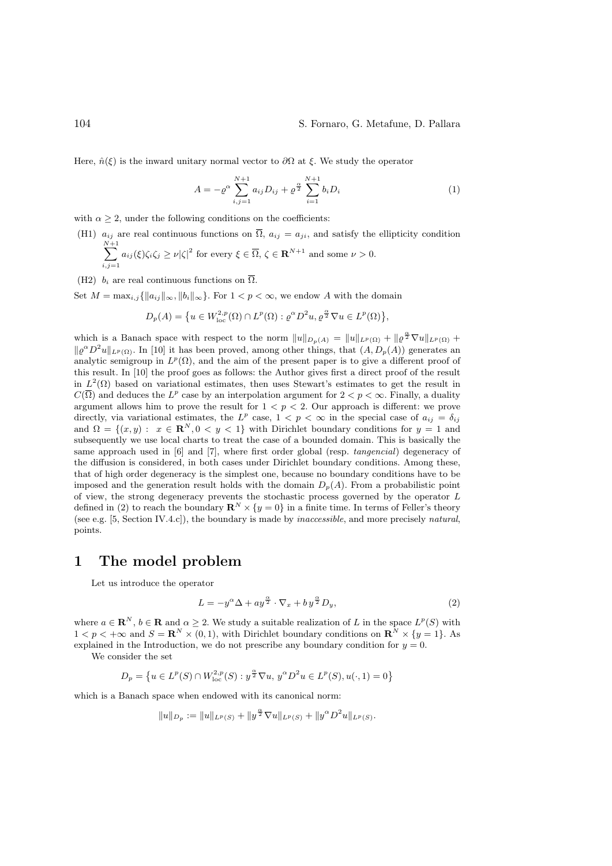Here,  $\hat{n}(\xi)$  is the inward unitary normal vector to  $\partial\Omega$  at  $\xi$ . We study the operator

$$
A = -\varrho^{\alpha} \sum_{i,j=1}^{N+1} a_{ij} D_{ij} + \varrho^{\frac{\alpha}{2}} \sum_{i=1}^{N+1} b_i D_i \tag{1}
$$

with  $\alpha \geq 2$ , under the following conditions on the coefficients:

(H1)  $a_{ij}$  are real continuous functions on  $\overline{\Omega}$ ,  $a_{ij} = a_{ji}$ , and satisfy the ellipticity condition  $\sum^{N+1}$  $a_{ij}(\xi)\zeta_i\zeta_j \geq \nu |\zeta|^2$  for every  $\xi \in \overline{\Omega}, \ \zeta \in \mathbf{R}^{N+1}$  and some  $\nu > 0$ .

$$
\sum_{i,j=1} a_{ij} (s/s_i s_j \leq \nu |s|)
$$
 for every  $s \in \mathbb{R}$ ,  $s \in \mathbb{R}$  and some

(H2)  $b_i$  are real continuous functions on  $\overline{\Omega}$ .

Set  $M = \max_{i,j} {\{|a_{ij}\|_{\infty}, \|b_i\|_{\infty}}}.$  For  $1 < p < \infty$ , we endow A with the domain

$$
D_p(A) = \{ u \in W^{2,p}_{loc}(\Omega) \cap L^p(\Omega) : \varrho^{\alpha} D^2 u, \varrho^{\frac{\alpha}{2}} \nabla u \in L^p(\Omega) \},
$$

which is a Banach space with respect to the norm  $||u||_{D_p(A)} = ||u||_{L^p(\Omega)} + ||\varrho^{\frac{\alpha}{2}} \nabla u||_{L^p(\Omega)} +$  $\|\rho^{\alpha}D^2u\|_{L^p(\Omega)}$ . In [10] it has been proved, among other things, that  $(A, D_p(A))$  generates an analytic semigroup in  $L^p(\Omega)$ , and the aim of the present paper is to give a different proof of this result. In [10] the proof goes as follows: the Author gives first a direct proof of the result in  $L^2(\Omega)$  based on variational estimates, then uses Stewart's estimates to get the result in  $C(\overline{\Omega})$  and deduces the  $L^p$  case by an interpolation argument for  $2 < p < \infty$ . Finally, a duality argument allows him to prove the result for  $1 < p < 2$ . Our approach is different: we prove directly, via variational estimates, the  $L^p$  case,  $1 < p < \infty$  in the special case of  $a_{ij} = \delta_{ij}$ and  $\Omega = \{(x, y): x \in \mathbb{R}^N, 0 \leq y \leq 1\}$  with Dirichlet boundary conditions for  $y = 1$  and subsequently we use local charts to treat the case of a bounded domain. This is basically the same approach used in [6] and [7], where first order global (resp. *tangencial*) degeneracy of the diffusion is considered, in both cases under Dirichlet boundary conditions. Among these, that of high order degeneracy is the simplest one, because no boundary conditions have to be imposed and the generation result holds with the domain  $D_p(A)$ . From a probabilistic point of view, the strong degeneracy prevents the stochastic process governed by the operator L defined in (2) to reach the boundary  $\mathbf{R}^N \times \{y = 0\}$  in a finite time. In terms of Feller's theory (see e.g. [5, Section IV.4.c]), the boundary is made by *inaccessible*, and more precisely *natural*, points.

### 1 The model problem

Let us introduce the operator

$$
L = -y^{\alpha} \Delta + ay^{\frac{\alpha}{2}} \cdot \nabla_x + by^{\frac{\alpha}{2}} D_y, \tag{2}
$$

where  $a \in \mathbb{R}^N$ ,  $b \in \mathbb{R}$  and  $\alpha \geq 2$ . We study a suitable realization of L in the space  $L^p(S)$  with  $1 < p < +\infty$  and  $S = \mathbb{R}^N \times (0, 1)$ , with Dirichlet boundary conditions on  $\mathbb{R}^N \times \{y = 1\}$ . As explained in the Introduction, we do not prescribe any boundary condition for  $y = 0$ .

We consider the set

$$
D_p=\left\{u\in L^p(S)\cap W^{2,p}_{\text{loc}}(S): y^\frac{\alpha}{2}\nabla u,\,y^\alpha D^2u\in L^p(S),u(\cdot,1)=0\right\}
$$

which is a Banach space when endowed with its canonical norm:

$$
||u||_{D_p} := ||u||_{L^p(S)} + ||y^{\frac{\alpha}{2}} \nabla u||_{L^p(S)} + ||y^{\alpha} D^2 u||_{L^p(S)}.
$$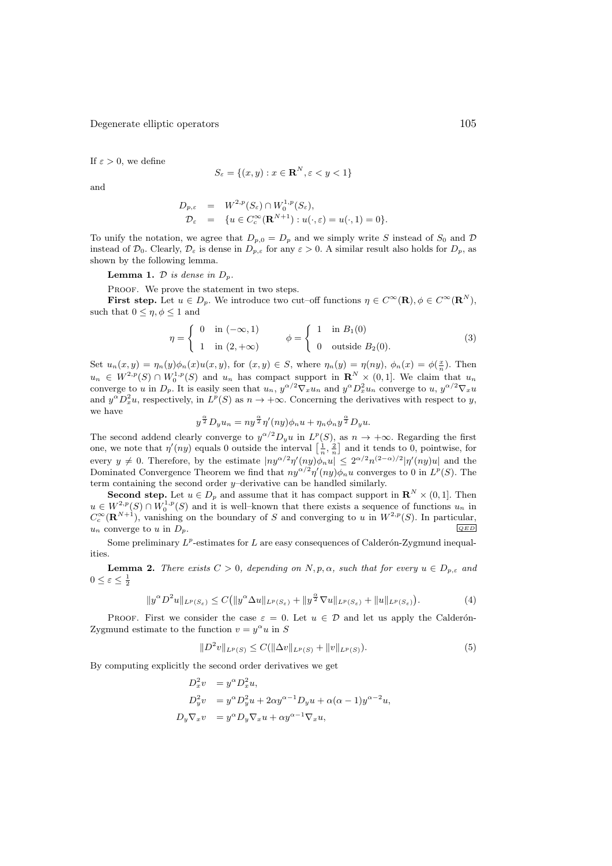If  $\varepsilon > 0$ , we define

$$
S_{\varepsilon} = \{(x, y) : x \in \mathbf{R}^{N}, \varepsilon < y < 1\}
$$

and

$$
D_{p,\varepsilon} = W^{2,p}(S_{\varepsilon}) \cap W_0^{1,p}(S_{\varepsilon}),
$$
  
\n
$$
\mathcal{D}_{\varepsilon} = \{ u \in C_c^{\infty}(\mathbf{R}^{N+1}) : u(\cdot,\varepsilon) = u(\cdot,1) = 0 \}.
$$

To unify the notation, we agree that  $D_{p,0} = D_p$  and we simply write S instead of  $S_0$  and D instead of  $\mathcal{D}_0$ . Clearly,  $\mathcal{D}_{\varepsilon}$  is dense in  $D_{p,\varepsilon}$  for any  $\varepsilon > 0$ . A similar result also holds for  $D_p$ , as shown by the following lemma.

**Lemma 1.**  $D$  *is dense in*  $D_p$ *.* 

PROOF. We prove the statement in two steps.

**First step.** Let  $u \in D_p$ . We introduce two cut–off functions  $\eta \in C^{\infty}(\mathbf{R}), \phi \in C^{\infty}(\mathbf{R}^N)$ , such that  $0 \leq \eta, \phi \leq 1$  and

$$
\eta = \begin{cases} 0 & \text{in } (-\infty, 1) \\ 1 & \text{in } (2, +\infty) \end{cases} \qquad \phi = \begin{cases} 1 & \text{in } B_1(0) \\ 0 & \text{outside } B_2(0). \end{cases} \tag{3}
$$

Set  $u_n(x, y) = \eta_n(y)\phi_n(x)u(x, y)$ , for  $(x, y) \in S$ , where  $\eta_n(y) = \eta(ny)$ ,  $\phi_n(x) = \phi(\frac{x}{n})$ . Then  $u_n \in W^{2,p}(S) \cap W^{1,p}_0(S)$  and  $u_n$  has compact support in  $\mathbb{R}^N \times (0,1]$ . We claim that  $u_n$ converge to u in  $D_p$ . It is easily seen that  $u_n$ ,  $y^{\alpha/2} \nabla_x u_n$  and  $y^{\alpha} D_x^2 u_n$  converge to u,  $y^{\alpha/2} \nabla_x u$ and  $y^{\alpha}D_x^2u$ , respectively, in  $L^p(S)$  as  $n \to +\infty$ . Concerning the derivatives with respect to y, we have

$$
y^{\frac{\alpha}{2}} D_y u_n = n y^{\frac{\alpha}{2}} \eta'(n y) \phi_n u + \eta_n \phi_n y^{\frac{\alpha}{2}} D_y u.
$$

The second addend clearly converge to  $y^{\alpha/2}D_yu$  in  $L^p(S)$ , as  $n \to +\infty$ . Regarding the first one, we note that  $\eta'(ny)$  equals 0 outside the interval  $\left[\frac{1}{n}, \frac{2}{n}\right]$  and it tends to 0, pointwise, for every  $y \neq 0$ . Therefore, by the estimate  $|ny^{\alpha/2}\eta'(ny)\phi_n u| \leq 2^{\alpha/2}n^{(2-\alpha)/2}|\eta'(ny)u|$  and the Dominated Convergence Theorem we find that  $ny^{\alpha/2}\eta'(ny)\phi_n u$  converges to 0 in  $L^p(S)$ . The term containing the second order  $y$ –derivative can be handled similarly.

**Second step.** Let  $u \in D_p$  and assume that it has compact support in  $\mathbb{R}^N \times (0,1]$ . Then  $u \in W^{2,p}_0(S) \cap W^{1,p}_0(S)$  and it is well-known that there exists a sequence of functions  $u_n$  in  $C_c^{\infty}(\mathbf{R}^{N+1})$ , vanishing on the boundary of S and converging to u in  $W^{2,p}(S)$ . In particular,  $u_n$  converge to u in  $D_p$ .

Some preliminary  $L^p$ -estimates for L are easy consequences of Calderón-Zygmund inequalities.

**Lemma 2.** *There exists*  $C > 0$ , depending on  $N, p, \alpha$ , such that for every  $u \in D_{p,\varepsilon}$  and  $0 \leq \varepsilon \leq \frac{1}{2}$ 

$$
||y^{\alpha}D^{2}u||_{L^{p}(S_{\varepsilon})} \leq C(||y^{\alpha}\Delta u||_{L^{p}(S_{\varepsilon})} + ||y^{\frac{\alpha}{2}}\nabla u||_{L^{p}(S_{\varepsilon})} + ||u||_{L^{p}(S_{\varepsilon})}).
$$
\n(4)

PROOF. First we consider the case  $\varepsilon = 0$ . Let  $u \in \mathcal{D}$  and let us apply the Calderón-Zygmund estimate to the function  $v = y^{\alpha} u$  in S

$$
||D^{2}v||_{L^{p}(S)} \leq C(||\Delta v||_{L^{p}(S)} + ||v||_{L^{p}(S)}).
$$
\n(5)

By computing explicitly the second order derivatives we get

$$
D_x^2 v = y^{\alpha} D_x^2 u,
$$
  
\n
$$
D_y^2 v = y^{\alpha} D_y^2 u + 2\alpha y^{\alpha-1} D_y u + \alpha(\alpha - 1) y^{\alpha-2} u,
$$
  
\n
$$
D_y \nabla_x v = y^{\alpha} D_y \nabla_x u + \alpha y^{\alpha-1} \nabla_x u,
$$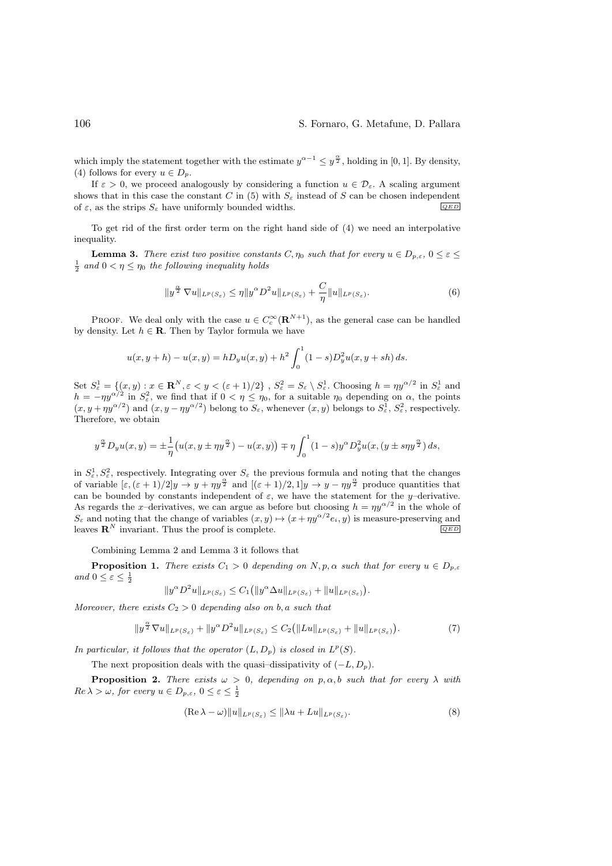which imply the statement together with the estimate  $y^{\alpha-1} \leq y^{\frac{\alpha}{2}}$ , holding in [0, 1]. By density, (4) follows for every  $u \in D_p$ .

If  $\varepsilon > 0$ , we proceed analogously by considering a function  $u \in \mathcal{D}_{\varepsilon}$ . A scaling argument shows that in this case the constant C in (5) with  $S_{\varepsilon}$  instead of S can be chosen independent of  $\varepsilon$ , as the strips  $S_{\varepsilon}$  have uniformly bounded widths.  $\sqrt{QED}$ 

To get rid of the first order term on the right hand side of (4) we need an interpolative inequality.

**Lemma 3.** *There exist two positive constants*  $C, \eta_0$  *such that for every*  $u \in D_{p,\varepsilon}$ ,  $0 \leq \varepsilon \leq 1$  $\frac{1}{2}$  and  $0 < \eta \leq \eta_0$  the following inequality holds

$$
||y^{\frac{\alpha}{2}}\nabla u||_{L^{p}(S_{\varepsilon})} \leq \eta ||y^{\alpha}D^{2}u||_{L^{p}(S_{\varepsilon})} + \frac{C}{\eta}||u||_{L^{p}(S_{\varepsilon})}.
$$
\n(6)

PROOF. We deal only with the case  $u \in C_c^{\infty}(\mathbf{R}^{N+1})$ , as the general case can be handled by density. Let  $h \in \mathbf{R}$ . Then by Taylor formula we have

$$
u(x, y + h) - u(x, y) = hD_y u(x, y) + h^2 \int_0^1 (1 - s) D_y^2 u(x, y + sh) ds.
$$

Set  $S^1_{\varepsilon} = \{(x, y) : x \in \mathbb{R}^N, \varepsilon < y < (\varepsilon + 1)/2\}$ ,  $S^2_{\varepsilon} = S_{\varepsilon} \setminus S^1_{\varepsilon}$ . Choosing  $h = \eta y^{\alpha/2}$  in  $S^1_{\varepsilon}$  and  $h = -\eta y^{\alpha/2}$  in  $S_{\varepsilon}^2$ , we find that if  $0 < \eta \le \eta_0$ , for a suitable  $\eta_0$  depending on  $\alpha$ , the points  $(x, y + \eta y^{\alpha/2})$  and  $(x, y - \eta y^{\alpha/2})$  belong to  $S_{\varepsilon}$ , whenever  $(x, y)$  belongs to  $S_{\varepsilon}^1$ ,  $S_{\varepsilon}^2$ , respectively. Therefore, we obtain

$$
y^{\frac{\alpha}{2}} D_y u(x,y) = \pm \frac{1}{\eta} \left( u(x, y \pm \eta y^{\frac{\alpha}{2}}) - u(x,y) \right) \mp \eta \int_0^1 (1-s) y^{\alpha} D_y^2 u(x, (y \pm s \eta y^{\frac{\alpha}{2}}) ds,
$$

in  $S_{\varepsilon}^1, S_{\varepsilon}^2$ , respectively. Integrating over  $S_{\varepsilon}$  the previous formula and noting that the changes of variable  $[\varepsilon,(\varepsilon+1)/2]y \to y + \eta y^{\frac{\alpha}{2}}$  and  $[(\varepsilon+1)/2,1]y \to y - \eta y^{\frac{\alpha}{2}}$  produce quantities that can be bounded by constants independent of  $\varepsilon$ , we have the statement for the y–derivative. As regards the x-derivatives, we can argue as before but choosing  $h = \eta y^{\alpha/2}$  in the whole of  $S_{\varepsilon}$  and noting that the change of variables  $(x, y) \mapsto (x + \eta y^{\alpha/2} e_i, y)$  is measure-preserving and<br>leaves  $\mathbb{R}^N$  invariant. Thus the proof is complete leaves  $\mathbf{R}^N$  invariant. Thus the proof is complete.

Combining Lemma 2 and Lemma 3 it follows that

**Proposition 1.** *There exists*  $C_1 > 0$  *depending on*  $N, p, \alpha$  *such that for every*  $u \in D_{p,\varepsilon}$ *and*  $0 \leq \varepsilon \leq \frac{1}{2}$ 

$$
||y^{\alpha}D^{2}u||_{L^{p}(S_{\varepsilon})}\leq C_{1} (||y^{\alpha}\Delta u||_{L^{p}(S_{\varepsilon})}+||u||_{L^{p}(S_{\varepsilon})}).
$$

*Moreover, there exists*  $C_2 > 0$  *depending also on* b, a *such that* 

$$
||y^{\frac{\alpha}{2}}\nabla u||_{L^{p}(S_{\varepsilon})}+||y^{\alpha}D^{2}u||_{L^{p}(S_{\varepsilon})}\leq C_{2}(||Lu||_{L^{p}(S_{\varepsilon})}+||u||_{L^{p}(S_{\varepsilon})}).
$$
\n(7)

*In particular, it follows that the operator*  $(L, D_p)$  *is closed in*  $L^p(S)$ *.* 

The next proposition deals with the quasi–dissipativity of  $(-L, D_p)$ .

**Proposition 2.** *There exists*  $\omega > 0$ , *depending on*  $p, \alpha, b$  *such that for every*  $\lambda$  *with*  $Re \lambda > \omega$ , for every  $u \in D_{p,\varepsilon}$ ,  $0 \leq \varepsilon \leq \frac{1}{2}$ 

$$
(\operatorname{Re}\lambda - \omega) \|u\|_{L^p(S_{\varepsilon})} \le \|\lambda u + Lu\|_{L^p(S_{\varepsilon})}.
$$
 (8)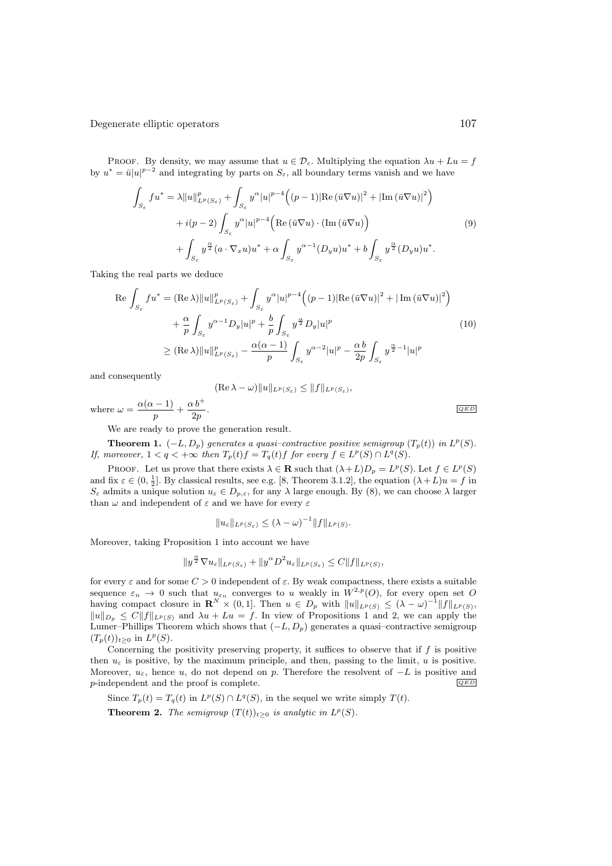PROOF. By density, we may assume that  $u \in \mathcal{D}_{\varepsilon}$ . Multiplying the equation  $\lambda u + Lu = f$ by  $u^* = \bar{u}|u|^{p-2}$  and integrating by parts on  $S_{\varepsilon}$ , all boundary terms vanish and we have

$$
\int_{S_{\varepsilon}} f u^* = \lambda \|u\|_{L^p(S_{\varepsilon})}^p + \int_{S_{\varepsilon}} y^{\alpha} |u|^{p-4} \Big( (p-1) |\text{Re}(\bar{u} \nabla u)|^2 + |\text{Im}(\bar{u} \nabla u)|^2 \Big) \n+ i(p-2) \int_{S_{\varepsilon}} y^{\alpha} |u|^{p-4} \Big( \text{Re}(\bar{u} \nabla u) \cdot (\text{Im}(\bar{u} \nabla u)) \n+ \int_{S_{\varepsilon}} y^{\frac{\alpha}{2}} (a \cdot \nabla_x u) u^* + \alpha \int_{S_{\varepsilon}} y^{\alpha-1} (D_y u) u^* + b \int_{S_{\varepsilon}} y^{\frac{\alpha}{2}} (D_y u) u^*.
$$
\n(9)

Taking the real parts we deduce

$$
\operatorname{Re} \int_{S_{\varepsilon}} f u^* = (\operatorname{Re} \lambda) \|u\|_{L^p(S_{\varepsilon})}^p + \int_{S_{\varepsilon}} y^{\alpha} |u|^{p-4} \Big( (p-1) |\operatorname{Re} (\bar{u} \nabla u)|^2 + |\operatorname{Im} (\bar{u} \nabla u)|^2 \Big) \n+ \frac{\alpha}{p} \int_{S_{\varepsilon}} y^{\alpha-1} D_y |u|^p + \frac{b}{p} \int_{S_{\varepsilon}} y^{\frac{\alpha}{2}} D_y |u|^p \n\ge (\operatorname{Re} \lambda) \|u\|_{L^p(S_{\varepsilon})}^p - \frac{\alpha(\alpha-1)}{p} \int_{S_{\varepsilon}} y^{\alpha-2} |u|^p - \frac{\alpha b}{2p} \int_{S_{\varepsilon}} y^{\frac{\alpha}{2}-1} |u|^p
$$
\n(10)

and consequently

$$
(\mathrm{Re}\,\lambda-\omega)\|u\|_{L^p(S_{\varepsilon})}\leq\|f\|_{L^p(S_{\varepsilon})},
$$

where 
$$
\omega = \frac{\alpha(\alpha - 1)}{p} + \frac{\alpha b^+}{2p}
$$
.

We are ready to prove the generation result.

**Theorem 1.**  $(-L, D_p)$  generates a quasi-contractive positive semigroup  $(T_p(t))$  in  $L^p(S)$ . *If, moreover,*  $1 < q < +\infty$  *then*  $T_p(t)f = T_q(t)f$  *for every*  $f \in L^p(S) \cap L^q(S)$ *.* 

PROOF. Let us prove that there exists  $\lambda \in \mathbf{R}$  such that  $(\lambda + L)D_p = L^p(S)$ . Let  $f \in L^p(S)$ and fix  $\varepsilon \in (0, \frac{1}{2}]$ . By classical results, see e.g. [8, Theorem 3.1.2], the equation  $(\lambda + L)u = f$  in  $S_{\varepsilon}$  admits a unique solution  $u_{\varepsilon} \in D_{p,\varepsilon}$ , for any  $\lambda$  large enough. By (8), we can choose  $\lambda$  larger than  $\omega$  and independent of  $\varepsilon$  and we have for every  $\varepsilon$ 

$$
||u_{\varepsilon}||_{L^{p}(S_{\varepsilon})} \leq (\lambda - \omega)^{-1}||f||_{L^{p}(S)}.
$$

Moreover, taking Proposition 1 into account we have

$$
||y^{\frac{\alpha}{2}}\nabla u_{\varepsilon}||_{L^{p}(S_{\varepsilon})}+||y^{\alpha}D^{2}u_{\varepsilon}||_{L^{p}(S_{\varepsilon})}\leq C||f||_{L^{p}(S)},
$$

for every  $\varepsilon$  and for some  $C > 0$  independent of  $\varepsilon$ . By weak compactness, there exists a suitable sequence  $\varepsilon_n \to 0$  such that  $u_{\varepsilon_n}$  converges to u weakly in  $W^{2,p}(O)$ , for every open set O having compact closure in  $\mathbf{R}^N \times (0,1]$ . Then  $u \in D_p$  with  $||u||_{L^p(S)} \leq (\lambda - \omega)^{-1} ||f||_{L^p(S)}$ ,  $||u||_{D_p} \leq C||f||_{L^p(S)}$  and  $\lambda u + Lu = f$ . In view of Propositions 1 and 2, we can apply the Lumer–Phillips Theorem which shows that  $(-L, D_p)$  generates a quasi-contractive semigroup  $(T_p(t))_{t>0}$  in  $L^p(S)$ .

Concerning the positivity preserving property, it suffices to observe that if  $f$  is positive then  $u_{\varepsilon}$  is positive, by the maximum principle, and then, passing to the limit, u is positive. Moreover,  $u_{\varepsilon}$ , hence u, do not depend on p. Therefore the resolvent of  $-L$  is positive and n-independent and the proof is complete  $p$ -independent and the proof is complete.

Since  $T_p(t) = T_q(t)$  in  $L^p(S) \cap L^q(S)$ , in the sequel we write simply  $T(t)$ . **Theorem 2.** *The semigroup*  $(T(t))_{t>0}$  *is analytic in*  $L^p(S)$ *.*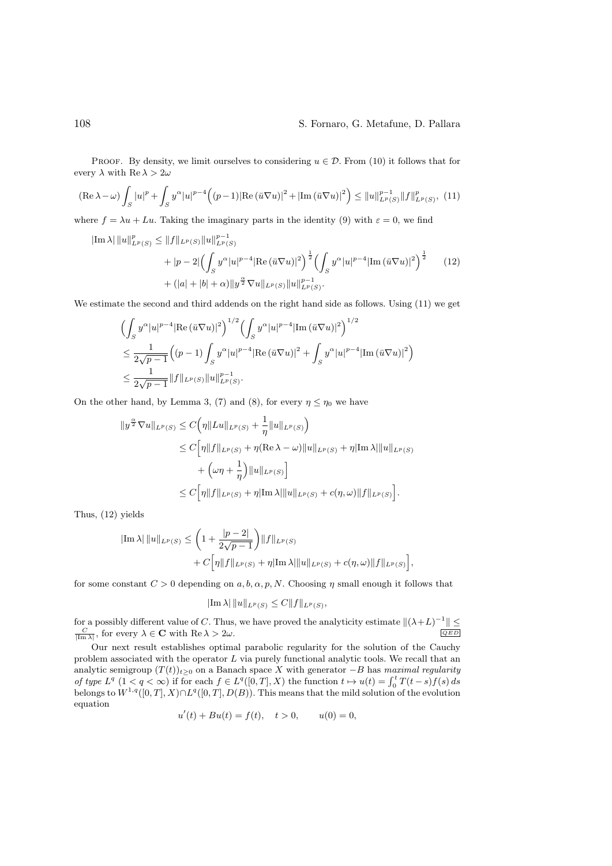PROOF. By density, we limit ourselves to considering  $u \in \mathcal{D}$ . From (10) it follows that for every  $\lambda$  with Re  $\lambda > 2\omega$ 

$$
(\text{Re }\lambda - \omega) \int_{S} |u|^{p} + \int_{S} y^{\alpha} |u|^{p-4} \Big( (p-1) |\text{Re}(\bar{u}\nabla u)|^{2} + |\text{Im}(\bar{u}\nabla u)|^{2} \Big) \leq ||u||_{L^{p}(S)}^{p-1} ||f||_{L^{p}(S)}^{p}, (11)
$$

where  $f = \lambda u + Lu$ . Taking the imaginary parts in the identity (9) with  $\varepsilon = 0$ , we find

$$
\begin{split} |\text{Im }\lambda| \left\| u \right\|_{L^{p}(S)}^{p} &\leq \left\| f \right\|_{L^{p}(S)} \left\| u \right\|_{L^{p}(S)}^{p-1} \\ &+ |p-2| \left( \int_{S} y^{\alpha} |u|^{p-4} |\text{Re } (\bar{u} \nabla u)|^{2} \right)^{\frac{1}{2}} \left( \int_{S} y^{\alpha} |u|^{p-4} |\text{Im } (\bar{u} \nabla u)|^{2} \right)^{\frac{1}{2}} \\ &+ (|a| + |b| + \alpha) \| y^{\frac{\alpha}{2}} \nabla u \|_{L^{p}(S)} \| u \|_{L^{p}(S)}^{p-1}. \end{split} \tag{12}
$$

We estimate the second and third addends on the right hand side as follows. Using (11) we get

$$
\begin{split} & \Big( \int_S y^{\alpha} |u|^{p-4} |\text{Re} \left( \bar{u} \nabla u \right)|^2 \Big)^{1/2} \Big( \int_S y^{\alpha} |u|^{p-4} |\text{Im} \left( \bar{u} \nabla u \right)|^2 \Big)^{1/2} \\ & \leq \frac{1}{2\sqrt{p-1}} \Big( (p-1) \int_S y^{\alpha} |u|^{p-4} |\text{Re} \left( \bar{u} \nabla u \right)|^2 + \int_S y^{\alpha} |u|^{p-4} |\text{Im} \left( \bar{u} \nabla u \right)|^2 \Big) \\ & \leq \frac{1}{2\sqrt{p-1}} \| f \|_{L^p(S)} \| u \|_{L^p(S)}^{p-1}. \end{split}
$$

On the other hand, by Lemma 3, (7) and (8), for every  $\eta \leq \eta_0$  we have

$$
\|y^{\frac{\alpha}{2}}\nabla u\|_{L^{p}(S)} \leq C\Big(\eta\|Lu\|_{L^{p}(S)} + \frac{1}{\eta}\|u\|_{L^{p}(S)}\Big)
$$
  
\n
$$
\leq C\Big[\eta\|f\|_{L^{p}(S)} + \eta(\text{Re }\lambda - \omega)\|u\|_{L^{p}(S)} + \eta|\text{Im }\lambda|\|u\|_{L^{p}(S)}
$$
  
\n
$$
+ \left(\omega\eta + \frac{1}{\eta}\right)\|u\|_{L^{p}(S)}\Big]
$$
  
\n
$$
\leq C\Big[\eta\|f\|_{L^{p}(S)} + \eta|\text{Im }\lambda|\|u\|_{L^{p}(S)} + c(\eta,\omega)\|f\|_{L^{p}(S)}\Big].
$$

Thus, (12) yields

$$
\begin{aligned} |\text{Im }\lambda| \, \|u\|_{L^p(S)} &\leq \left(1 + \frac{|p-2|}{2\sqrt{p-1}}\right) \|f\|_{L^p(S)} \\ &+ C \Big[\eta \|f\|_{L^p(S)} + \eta |\text{Im }\lambda| \|u\|_{L^p(S)} + c(\eta,\omega) \|f\|_{L^p(S)}\Big], \end{aligned}
$$

for some constant  $C > 0$  depending on  $a, b, \alpha, p, N$ . Choosing  $\eta$  small enough it follows that

$$
|\text{Im }\lambda| \|u\|_{L^p(S)} \leq C \|f\|_{L^p(S)},
$$

for a possibly different value of C. Thus, we have proved the analyticity estimate  $\|(\lambda + L)^{-1}\| \le$ <br> $\le$  for overy  $\lambda \in \mathbb{C}$  with  $\text{Re } \lambda > 2\omega$  $\frac{C}{|\text{Im }\lambda|}$ , for every  $\lambda \in \mathbf{C}$  with  $\text{Re }\lambda > 2\omega$ .

Our next result establishes optimal parabolic regularity for the solution of the Cauchy problem associated with the operator  $L$  via purely functional analytic tools. We recall that an analytic semigroup  $(T(t))_{t≥0}$  on a Banach space X with generator  $-B$  has *maximal regularity of type*  $L^q$   $(1 < q < \infty)$  if for each  $f \in L^q([0, T], X)$  the function  $t \mapsto u(t) = \int_0^t T(t - s) f(s) ds$ belongs to  $W^{1,q}([0,T], X) \cap L^q([0,T], D(B))$ . This means that the mild solution of the evolution equation

$$
u'(t) + Bu(t) = f(t), \quad t > 0, \qquad u(0) = 0,
$$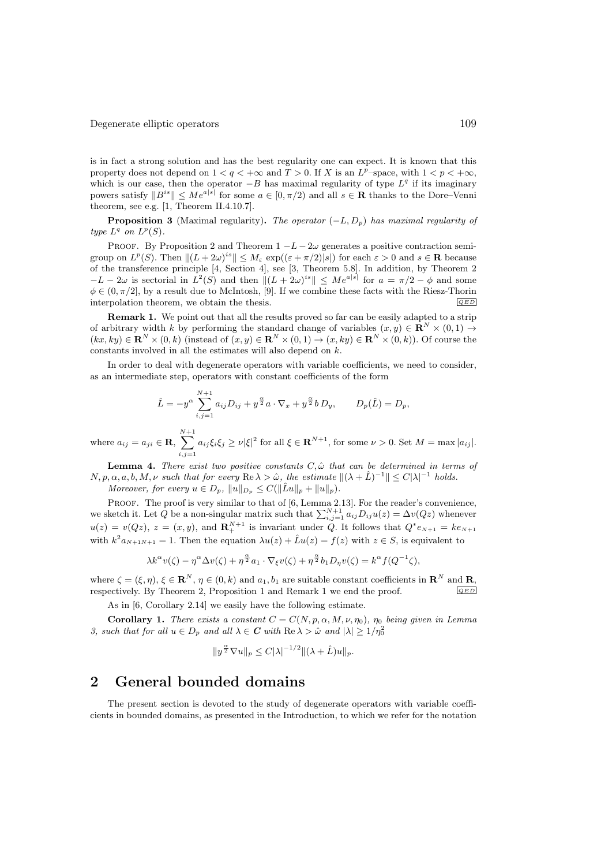is in fact a strong solution and has the best regularity one can expect. It is known that this property does not depend on  $1 < q < +\infty$  and  $T > 0$ . If X is an  $L^p$ –space, with  $1 < p < +\infty$ , which is our case, then the operator  $-B$  has maximal regularity of type  $L<sup>q</sup>$  if its imaginary powers satisfy  $||B^{is}|| \leq Me^{a|\hat{s}|}$  for some  $a \in [0, \pi/2)$  and all  $s \in \mathbf{R}$  thanks to the Dore–Venni theorem, see e.g. [1, Theorem II.4.10.7].

**Proposition 3** (Maximal regularity). *The operator*  $(-L, D_p)$  *has maximal regularity of type*  $L^q$  *on*  $L^p(S)$ *.* 

PROOF. By Proposition 2 and Theorem  $1 - L - 2\omega$  generates a positive contraction semigroup on  $L^p(S)$ . Then  $||(L + 2\omega)^{is}|| \leq M_{\varepsilon} \exp((\varepsilon + \pi/2)|s|)$  for each  $\varepsilon > 0$  and  $s \in \mathbf{R}$  because of the transference principle [4, Section 4], see [3, Theorem 5.8]. In addition, by Theorem 2  $-L-2\omega$  is sectorial in  $L^2(S)$  and then  $||(L + 2\omega)^{is}|| \le Me^{a|s|}$  for  $a = \pi/2 - \phi$  and some  $\phi \in (0, \pi/2]$ , by a result due to McIntosh, [9]. If we combine these facts with the Riesz-Thorin interpolation theorem, we obtain the thesis interpolation theorem, we obtain the thesis.

Remark 1. We point out that all the results proved so far can be easily adapted to a strip of arbitrary width k by performing the standard change of variables  $(x, y) \in \mathbb{R}^N \times (0, 1) \to$  $(kx, ky) \in \mathbf{R}^{N} \times (0, k)$  (instead of  $(x, y) \in \mathbf{R}^{N} \times (0, 1) \rightarrow (x, ky) \in \mathbf{R}^{N} \times (0, k)$ ). Of course the constants involved in all the estimates will also depend on k.

In order to deal with degenerate operators with variable coefficients, we need to consider, as an intermediate step, operators with constant coefficients of the form

$$
\hat{L} = -y^{\alpha} \sum_{i,j=1}^{N+1} a_{ij} D_{ij} + y^{\frac{\alpha}{2}} a \cdot \nabla_x + y^{\frac{\alpha}{2}} b D_y, \qquad D_p(\hat{L}) = D_p,
$$

where  $a_{ij} = a_{ji} \in \mathbf{R}$ ,  $\sum^{N+1}$  $\sum_{i,j=1} a_{ij} \xi_i \xi_j \geq \nu |\xi|^2$  for all  $\xi \in \mathbf{R}^{N+1}$ , for some  $\nu > 0$ . Set  $M = \max |a_{ij}|$ .

**Lemma 4.** *There exist two positive constants*  $C, \hat{\omega}$  *that can be determined in terms of*  $N, p, \alpha, a, b, M, \nu$  such that for every  $\text{Re }\lambda > \hat{\omega}$ , the estimate  $\|(\lambda + \hat{L})^{-1}\| \leq C|\lambda|^{-1}$  holds.

*Moreover, for every*  $u \in D_p$ ,  $||u||_{D_p} \leq C(||\hat{L}u||_p + ||u||_p)$ .

PROOF. The proof is very similar to that of [6, Lemma 2.13]. For the reader's convenience, we sketch it. Let Q be a non-singular matrix such that  $\sum_{i,j=1}^{N+1} a_{ij}D_{ij}u(z) = \Delta v(Qz)$  whenever  $u(z) = v(Qz), z = (x, y),$  and  $\mathbf{R}^{N+1}_{+}$  is invariant under Q. It follows that  $Q^*e_{N+1} = ke_{N+1}$ with  $k^2 a_{N+1N+1} = 1$ . Then the equation  $\lambda u(z) + \hat{L}u(z) = f(z)$  with  $z \in S$ , is equivalent to

$$
\lambda k^{\alpha} v(\zeta) - \eta^{\alpha} \Delta v(\zeta) + \eta^{\frac{\alpha}{2}} a_1 \cdot \nabla_{\xi} v(\zeta) + \eta^{\frac{\alpha}{2}} b_1 D_{\eta} v(\zeta) = k^{\alpha} f(Q^{-1} \zeta),
$$

where  $\zeta = (\xi, \eta), \xi \in \mathbb{R}^N, \eta \in (0, k)$  and  $a_1, b_1$  are suitable constant coefficients in  $\mathbb{R}^N$  and  $\mathbb{R}$ , respectively By Theorem 2. Proposition 1 and Bemark 1 we end the proof  $\overline{(\partial E)}$ respectively. By Theorem 2, Proposition 1 and Remark 1 we end the proof.

As in [6, Corollary 2.14] we easily have the following estimate.

**Corollary 1.** There exists a constant  $C = C(N, p, \alpha, M, \nu, \eta_0)$ ,  $\eta_0$  being given in Lemma *3, such that for all*  $u \in D_p$  *and all*  $\lambda \in C$  *with*  $\text{Re }\lambda > \hat{\omega}$  *and*  $|\lambda| \geq 1/\eta_0^2$ 

$$
||y^{\frac{\alpha}{2}}\nabla u||_p \leq C|\lambda|^{-1/2} ||(\lambda + \hat{L})u||_p.
$$

# 2 General bounded domains

The present section is devoted to the study of degenerate operators with variable coefficients in bounded domains, as presented in the Introduction, to which we refer for the notation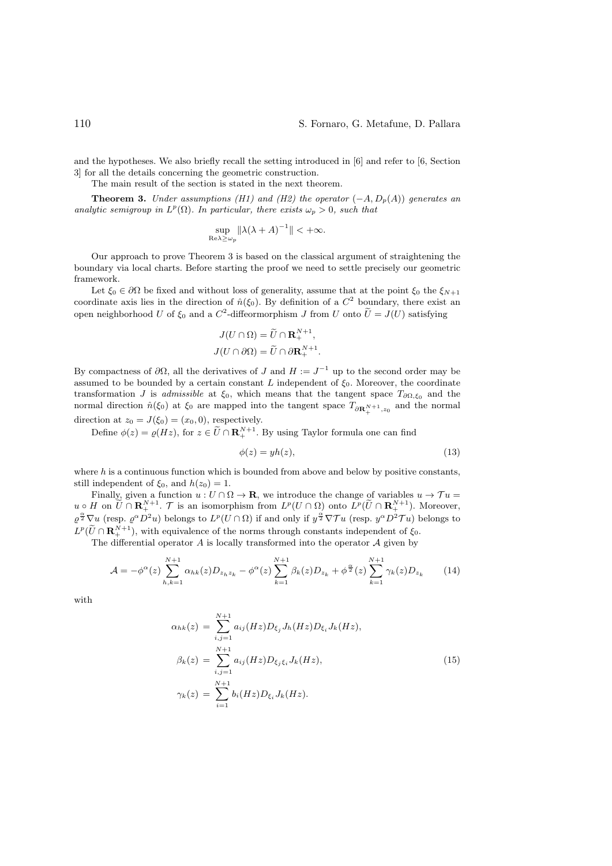and the hypotheses. We also briefly recall the setting introduced in [6] and refer to [6, Section 3] for all the details concerning the geometric construction.

The main result of the section is stated in the next theorem.

**Theorem 3.** *Under assumptions (H1) and (H2) the operator*  $(-A, D_p(A))$  *generates an analytic semigroup in*  $L^p(\Omega)$ *. In particular, there exists*  $\omega_p > 0$ *, such that* 

$$
\sup_{\mathrm{Re}\lambda \ge \omega_p} \|\lambda(\lambda + A)^{-1}\| < +\infty.
$$

Our approach to prove Theorem 3 is based on the classical argument of straightening the boundary via local charts. Before starting the proof we need to settle precisely our geometric framework.

Let  $\xi_0 \in \partial \Omega$  be fixed and without loss of generality, assume that at the point  $\xi_0$  the  $\xi_{N+1}$ coordinate axis lies in the direction of  $\hat{n}(\xi_0)$ . By definition of a  $C^2$  boundary, there exist an open neighborhood U of  $\xi_0$  and a  $C^2$ -diffeormorphism J from U onto  $\tilde{U}=J(U)$  satisfying

$$
J(U \cap \Omega) = \widetilde{U} \cap \mathbf{R}^{N+1}_{+},
$$

$$
J(U \cap \partial \Omega) = \widetilde{U} \cap \partial \mathbf{R}^{N+1}_{+}.
$$

By compactness of  $\partial\Omega$ , all the derivatives of J and  $H := J^{-1}$  up to the second order may be assumed to be bounded by a certain constant L independent of  $\xi_0$ . Moreover, the coordinate transformation J is *admissible* at  $\xi_0$ , which means that the tangent space  $T_{\partial\Omega,\xi_0}$  and the normal direction  $\hat{n}(\xi_0)$  at  $\xi_0$  are mapped into the tangent space  $T_{\partial \mathbf{R}^{N+1}_+, z_0}$  and the normal direction at  $z_0 = J(\xi_0) = (x_0, 0)$ , respectively.

Define  $\phi(z) = \varrho(Hz)$ , for  $z \in \widetilde{U} \cap \mathbf{R}^{N+1}_+$ . By using Taylor formula one can find

$$
\phi(z) = yh(z),\tag{13}
$$

where  $h$  is a continuous function which is bounded from above and below by positive constants, still independent of  $\xi_0$ , and  $h(z_0) = 1$ .

Finally, given a function  $u: U \cap \Omega \to \mathbf{R}$ , we introduce the change of variables  $u \to \mathcal{T} u =$  $u \circ H$  on  $\tilde{U} \cap \mathbf{R}^{N+1}_{+}$ .  $\mathcal{T}$  is an isomorphism from  $L^p(U \cap \Omega)$  onto  $L^p(\tilde{U} \cap \mathbf{R}^{N+1}_{+})$ . Moreover,  $\varrho^{\frac{\alpha}{2}}\nabla u$  (resp.  $\varrho^{\alpha}D^2u$ ) belongs to  $L^p(U\cap\Omega)$  if and only if  $y^{\frac{\alpha}{2}}\nabla Tu$  (resp.  $y^{\alpha}D^2Tu$ ) belongs to  $L^p(\tilde{U} \cap \mathbf{R}^{N+1}_+)$ , with equivalence of the norms through constants independent of  $\xi_0$ .

The differential operator  $A$  is locally transformed into the operator  $A$  given by

$$
\mathcal{A} = -\phi^{\alpha}(z) \sum_{h,k=1}^{N+1} \alpha_{hk}(z) D_{z_h z_k} - \phi^{\alpha}(z) \sum_{k=1}^{N+1} \beta_k(z) D_{z_k} + \phi^{\frac{\alpha}{2}}(z) \sum_{k=1}^{N+1} \gamma_k(z) D_{z_k}
$$
(14)

with

$$
\alpha_{hk}(z) = \sum_{i,j=1}^{N+1} a_{ij}(Hz) D_{\xi_j} J_h(Hz) D_{\xi_i} J_k(Hz),
$$
  
\n
$$
\beta_k(z) = \sum_{i,j=1}^{N+1} a_{ij}(Hz) D_{\xi_j \xi_i} J_k(Hz),
$$
  
\n
$$
\gamma_k(z) = \sum_{i=1}^{N+1} b_i(Hz) D_{\xi_i} J_k(Hz).
$$
\n(15)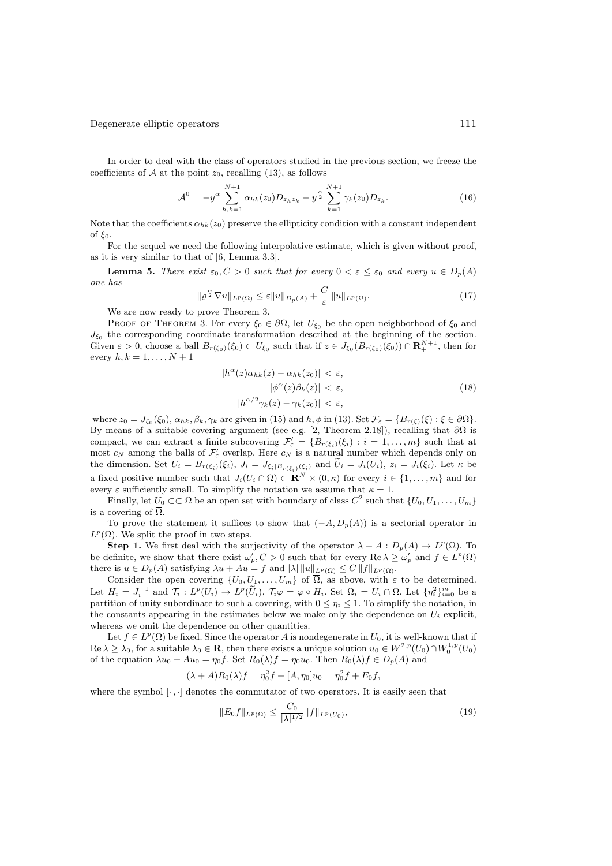In order to deal with the class of operators studied in the previous section, we freeze the coefficients of  $A$  at the point  $z_0$ , recalling (13), as follows

$$
\mathcal{A}^0 = -y^\alpha \sum_{h,k=1}^{N+1} \alpha_{hk}(z_0) D_{z_h z_k} + y^{\frac{\alpha}{2}} \sum_{k=1}^{N+1} \gamma_k(z_0) D_{z_k}.
$$
 (16)

Note that the coefficients  $\alpha_{hk}(z_0)$  preserve the ellipticity condition with a constant independent of  $\xi_0$ .

For the sequel we need the following interpolative estimate, which is given without proof, as it is very similar to that of [6, Lemma 3.3].

**Lemma 5.** *There exist*  $\varepsilon_0$ ,  $C > 0$  *such that for every*  $0 < \varepsilon \leq \varepsilon_0$  *and every*  $u \in D_p(A)$ *one has*

$$
\|\varrho^{\frac{\alpha}{2}}\nabla u\|_{L^{p}(\Omega)} \leq \varepsilon \|u\|_{D_{p}(A)} + \frac{C}{\varepsilon} \|u\|_{L^{p}(\Omega)}.
$$
\n(17)

We are now ready to prove Theorem 3.

PROOF OF THEOREM 3. For every  $\xi_0 \in \partial \Omega$ , let  $U_{\xi_0}$  be the open neighborhood of  $\xi_0$  and  $J_{\xi_0}$  the corresponding coordinate transformation described at the beginning of the section. Given  $\varepsilon > 0$ , choose a ball  $B_{r(\xi_0)}(\xi_0) \subset U_{\xi_0}$  such that if  $z \in J_{\xi_0}(B_{r(\xi_0)}(\xi_0)) \cap \mathbf{R}^{N+1}_+$ , then for every  $h, k = 1, \ldots, N + 1$ 

$$
|h^{\alpha}(z)\alpha_{hk}(z) - \alpha_{hk}(z_0)| < \varepsilon,
$$
  
\n
$$
|\phi^{\alpha}(z)\beta_k(z)| < \varepsilon,
$$
  
\n
$$
|h^{\alpha/2}\gamma_k(z) - \gamma_k(z_0)| < \varepsilon,
$$
\n(18)

where  $z_0 = J_{\xi_0}(\xi_0)$ ,  $\alpha_{hk}, \beta_k, \gamma_k$  are given in (15) and  $h, \phi$  in (13). Set  $\mathcal{F}_{\varepsilon} = \{B_{r(\xi)}(\xi) : \xi \in \partial\Omega\}$ . By means of a suitable covering argument (see e.g. [2, Theorem 2.18]), recalling that  $\partial\Omega$  is compact, we can extract a finite subcovering  $\mathcal{F}'_{\varepsilon} = \{B_{r(\xi_i)}(\xi_i) : i = 1,\ldots,m\}$  such that at most  $c_N$  among the balls of  $\mathcal{F}'_{\varepsilon}$  overlap. Here  $c_N$  is a natural number which depends only on the dimension. Set  $U_i = B_{r(\xi_i)}(\xi_i)$ ,  $J_i = J_{\xi_i|B_{r(\xi_i)}(\xi_i)}$  and  $\tilde{U}_i = J_i(U_i)$ ,  $z_i = J_i(\xi_i)$ . Let  $\kappa$  be a fixed positive number such that  $J_i(U_i \cap \Omega) \subset \mathbb{R}^N \times (0, \kappa)$  for every  $i \in \{1, \ldots, m\}$  and for every  $\varepsilon$  sufficiently small. To simplify the notation we assume that  $\kappa = 1$ .

Finally, let  $U_0 \subset\subset \Omega$  be an open set with boundary of class  $C^2$  such that  $\{U_0, U_1, \ldots, U_m\}$ is a covering of  $\overline{\Omega}$ .

To prove the statement it suffices to show that  $(-A, D_p(A))$  is a sectorial operator in  $L^p(\Omega)$ . We split the proof in two steps.

**Step 1.** We first deal with the surjectivity of the operator  $\lambda + A : D_p(A) \to L^p(\Omega)$ . To be definite, we show that there exist  $\omega'_p$ ,  $C > 0$  such that for every  $\text{Re }\lambda \geq \omega'_p$  and  $f \in L^p(\Omega)$ there is  $u \in D_p(A)$  satisfying  $\lambda u + Au = f$  and  $|\lambda| ||u||_{L^p(\Omega)} \leq C ||f||_{L^p(\Omega)}$ .

Consider the open covering  $\{U_0, U_1, \ldots, U_m\}$  of  $\overline{\Omega}$ , as above, with  $\varepsilon$  to be determined. Let  $H_i = J_i^{-1}$  and  $\mathcal{T}_i: L^p(U_i) \to L^p(\widetilde{U}_i)$ ,  $\mathcal{T}_i\varphi = \varphi \circ H_i$ . Set  $\Omega_i = U_i \cap \Omega$ . Let  $\{\eta_i^2\}_{i=0}^m$  be a partition of unity subordinate to such a covering, with  $0 \leq \eta_i \leq 1$ . To simplify the notation, in the constants appearing in the estimates below we make only the dependence on  $U_i$  explicit, whereas we omit the dependence on other quantities.

Let  $f \in L^p(\Omega)$  be fixed. Since the operator A is nondegenerate in  $U_0$ , it is well-known that if  $\text{Re }\lambda \geq \lambda_0$ , for a suitable  $\lambda_0 \in \mathbf{R}$ , then there exists a unique solution  $u_0 \in W^{2,p}(U_0) \cap W^{1,p}_0(U_0)$ of the equation  $\lambda u_0 + Au_0 = \eta_0 f$ . Set  $R_0(\lambda) f = \eta_0 u_0$ . Then  $R_0(\lambda) f \in D_p(A)$  and

$$
(\lambda + A)R_0(\lambda)f = \eta_0^2 f + [A, \eta_0]u_0 = \eta_0^2 f + E_0 f,
$$

where the symbol  $[\cdot, \cdot]$  denotes the commutator of two operators. It is easily seen that

$$
||E_0 f||_{L^p(\Omega)} \le \frac{C_0}{|\lambda|^{1/2}} ||f||_{L^p(U_0)},
$$
\n(19)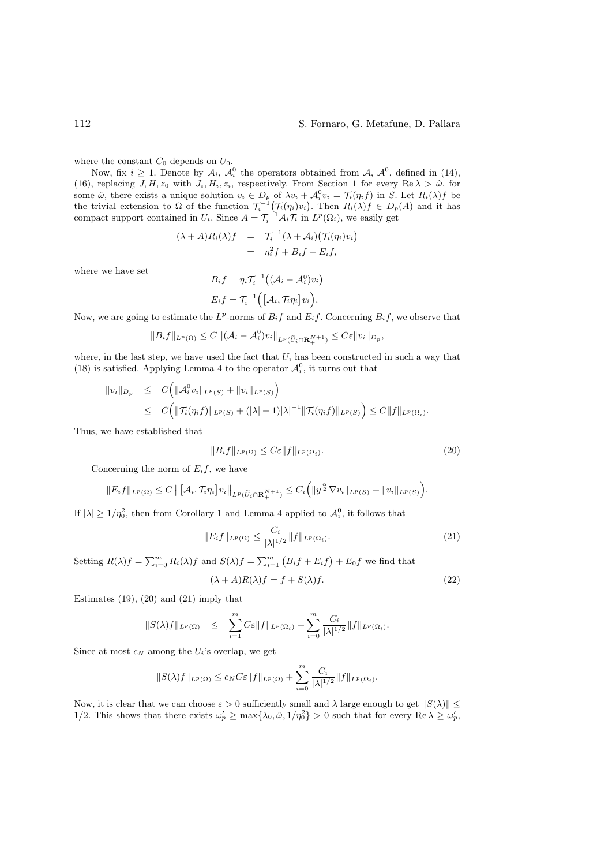#### 112 S. Fornaro, G. Metafune, D. Pallara

where the constant  $C_0$  depends on  $U_0$ .

Now, fix  $i \geq 1$ . Denote by  $\mathcal{A}_i$ ,  $\mathcal{A}_i^0$  the operators obtained from  $\mathcal{A}$ ,  $\mathcal{A}_i^0$ , defined in (14), (16), replacing  $J, H, z_0$  with  $J_i, H_i, z_i$ , respectively. From Section 1 for every Re  $\lambda > \hat{\omega}$ , for some  $\hat{\omega}$ , there exists a unique solution  $v_i \in D_p$  of  $\lambda v_i + \mathcal{A}_i^0 v_i = \mathcal{T}_i(\eta_i f)$  in S. Let  $R_i(\lambda)f$  be the trivial extension to  $\Omega$  of the function  $\mathcal{T}_i^{-1}(\mathcal{T}_i(\eta_i)v_i)$ . Then  $R_i(\lambda)f \in D_p(A)$  and it has compact support contained in  $U_i$ . Since  $A = \mathcal{T}_i^{-1} \mathcal{A}_i \mathcal{T}_i$  in  $L^p(\Omega_i)$ , we easily get

$$
(\lambda + A)R_i(\lambda)f = \mathcal{T}_i^{-1}(\lambda + \mathcal{A}_i)(\mathcal{T}_i(\eta_i)v_i)
$$
  
= 
$$
\eta_i^2 f + B_i f + E_i f,
$$

where we have set

$$
B_if=\eta_i\mathcal{T}_i^{-1}\big((\mathcal{A}_i-\mathcal{A}_i^0)v_i\big)
$$

$$
E_i f = \mathcal{T}_i^{-1} ( [\mathcal{A}_i, \mathcal{T}_i \eta_i] v_i ).
$$

Now, we are going to estimate the  $L^p$ -norms of  $B_i f$  and  $E_i f$ . Concerning  $B_i f$ , we observe that

$$
||B_i f||_{L^p(\Omega)} \leq C ||(\mathcal{A}_i - \mathcal{A}_i^0)v_i||_{L^p(\widetilde{U}_i \cap \mathbf{R}^{N+1}_+)} \leq C\varepsilon ||v_i||_{D_p},
$$

where, in the last step, we have used the fact that  $U_i$  has been constructed in such a way that (18) is satisfied. Applying Lemma 4 to the operator  $\mathcal{A}_{i}^{0}$ , it turns out that

$$
\|v_i\|_{D_p} \leq C \Big( \|\mathcal{A}_i^0 v_i\|_{L^p(S)} + \|v_i\|_{L^p(S)} \Big) \leq C \Big( \|\mathcal{T}_i(\eta_i f)\|_{L^p(S)} + (|\lambda|+1)|\lambda|^{-1} \|\mathcal{T}_i(\eta_i f)\|_{L^p(S)} \Big) \leq C \|f\|_{L^p(\Omega_i)}.
$$

Thus, we have established that

$$
||B_i f||_{L^p(\Omega)} \le C\varepsilon ||f||_{L^p(\Omega_i)}.
$$
\n(20)

Concerning the norm of  $E_i f$ , we have

$$
||E_i f||_{L^p(\Omega)} \leq C ||[A_i, \mathcal{T}_i \eta_i] v_i||_{L^p(\widetilde{U}_i \cap \mathbf{R}^{N+1}_+)} \leq C_i (||y^{\frac{\alpha}{2}} \nabla v_i||_{L^p(S)} + ||v_i||_{L^p(S)}).
$$

If  $|\lambda| \geq 1/\eta_0^2$ , then from Corollary 1 and Lemma 4 applied to  $\mathcal{A}_i^0$ , it follows that

$$
||E_i f||_{L^p(\Omega)} \le \frac{C_i}{|\lambda|^{1/2}} ||f||_{L^p(\Omega_i)}.
$$
\n(21)

Setting  $R(\lambda)f = \sum_{i=0}^{m} R_i(\lambda)f$  and  $S(\lambda)f = \sum_{i=1}^{m} (B_i f + E_i f) + E_0 f$  we find that

$$
(\lambda + A)R(\lambda)f = f + S(\lambda)f.
$$
\n(22)

Estimates  $(19)$ ,  $(20)$  and  $(21)$  imply that

$$
||S(\lambda)f||_{L^p(\Omega)} \leq \sum_{i=1}^m C \varepsilon ||f||_{L^p(\Omega_i)} + \sum_{i=0}^m \frac{C_i}{|\lambda|^{1/2}} ||f||_{L^p(\Omega_i)}.
$$

Since at most  $c_N$  among the  $U_i$ 's overlap, we get

$$
||S(\lambda)f||_{L^p(\Omega)} \leq c_N C \varepsilon ||f||_{L^p(\Omega)} + \sum_{i=0}^m \frac{C_i}{|\lambda|^{1/2}} ||f||_{L^p(\Omega_i)}.
$$

Now, it is clear that we can choose  $\varepsilon > 0$  sufficiently small and  $\lambda$  large enough to get  $||S(\lambda)|| \le$ 1/2. This shows that there exists  $\omega_p' \ge \max\{\lambda_0, \hat{\omega}, 1/\eta_0^2\} > 0$  such that for every  $\text{Re }\lambda \ge \omega_p'$ ,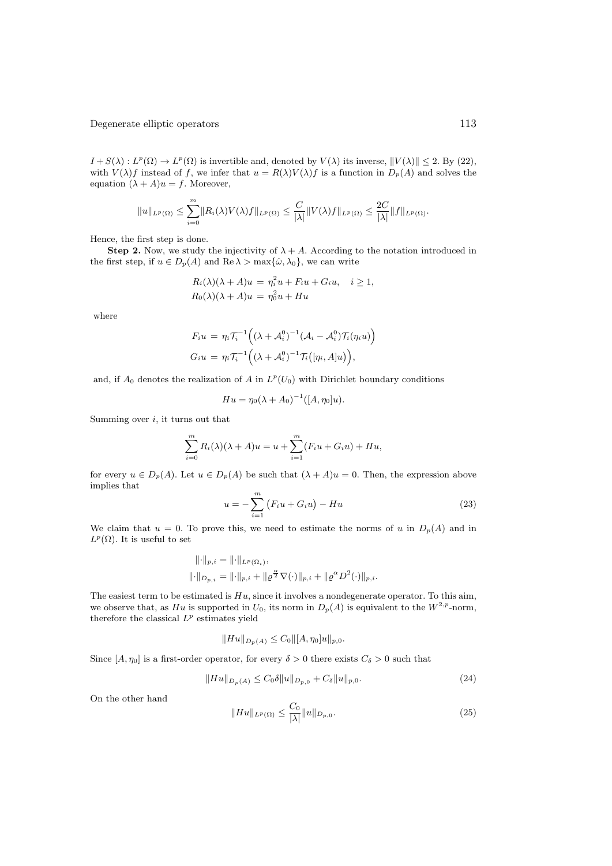$I + S(\lambda) : L^p(\Omega) \to L^p(\Omega)$  is invertible and, denoted by  $V(\lambda)$  its inverse,  $||V(\lambda)|| \leq 2$ . By (22), with  $V(\lambda)f$  instead of f, we infer that  $u = R(\lambda)V(\lambda)f$  is a function in  $D_p(A)$  and solves the equation  $(\lambda + A)u = f$ . Moreover,

$$
||u||_{L^p(\Omega)} \leq \sum_{i=0}^m ||R_i(\lambda)V(\lambda)f||_{L^p(\Omega)} \leq \frac{C}{|\lambda|} ||V(\lambda)f||_{L^p(\Omega)} \leq \frac{2C}{|\lambda|} ||f||_{L^p(\Omega)}.
$$

Hence, the first step is done.

**Step 2.** Now, we study the injectivity of  $\lambda + A$ . According to the notation introduced in the first step, if  $u \in D_p(A)$  and  $\text{Re }\lambda > \max{\{\hat{\omega}, \lambda_0\}}$ , we can write

$$
R_i(\lambda)(\lambda + A)u = \eta_i^2 u + F_i u + G_i u, \quad i \ge 1,
$$
  

$$
R_0(\lambda)(\lambda + A)u = \eta_0^2 u + Hu
$$

where

$$
F_i u = \eta_i \mathcal{T}_i^{-1} \Big( (\lambda + \mathcal{A}_i^0)^{-1} (\mathcal{A}_i - \mathcal{A}_i^0) \mathcal{T}_i(\eta_i u) \Big)
$$
  
\n
$$
G_i u = \eta_i \mathcal{T}_i^{-1} \Big( (\lambda + \mathcal{A}_i^0)^{-1} \mathcal{T}_i([\eta_i, A]u) \Big),
$$

and, if  $A_0$  denotes the realization of A in  $L^p(U_0)$  with Dirichlet boundary conditions

$$
Hu = \eta_0(\lambda + A_0)^{-1}([A, \eta_0]u).
$$

Summing over  $i$ , it turns out that

$$
\sum_{i=0}^{m} R_i(\lambda)(\lambda + A)u = u + \sum_{i=1}^{m} (F_i u + G_i u) + Hu,
$$

for every  $u \in D_p(A)$ . Let  $u \in D_p(A)$  be such that  $(\lambda + A)u = 0$ . Then, the expression above implies that

$$
u = -\sum_{i=1}^{m} (F_i u + G_i u) - Hu \tag{23}
$$

We claim that  $u = 0$ . To prove this, we need to estimate the norms of u in  $D_p(A)$  and in  $L^p(\Omega)$ . It is useful to set

$$
\|\cdot\|_{p,i} = \|\cdot\|_{L^p(\Omega_i)},
$$
  

$$
\|\cdot\|_{D_{p,i}} = \|\cdot\|_{p,i} + \|\varrho^{\frac{\alpha}{2}} \nabla(\cdot)\|_{p,i} + \|\varrho^{\alpha} D^2(\cdot)\|_{p,i}.
$$

The easiest term to be estimated is  $Hu$ , since it involves a nondegenerate operator. To this aim, we observe that, as Hu is supported in  $U_0$ , its norm in  $D_p(A)$  is equivalent to the  $W^{2,p}$ -norm, therefore the classical  $L^p$  estimates yield

$$
||Hu||_{D_p(A)} \leq C_0 ||[A, \eta_0]u||_{p,0}.
$$

Since  $[A, \eta_0]$  is a first-order operator, for every  $\delta > 0$  there exists  $C_{\delta} > 0$  such that

$$
||Hu||_{D_p(A)} \le C_0 \delta ||u||_{D_{p,0}} + C_\delta ||u||_{p,0}.
$$
\n(24)

On the other hand

$$
||Hu||_{L^p(\Omega)} \le \frac{C_0}{|\lambda|} ||u||_{D_{p,0}}.
$$
\n(25)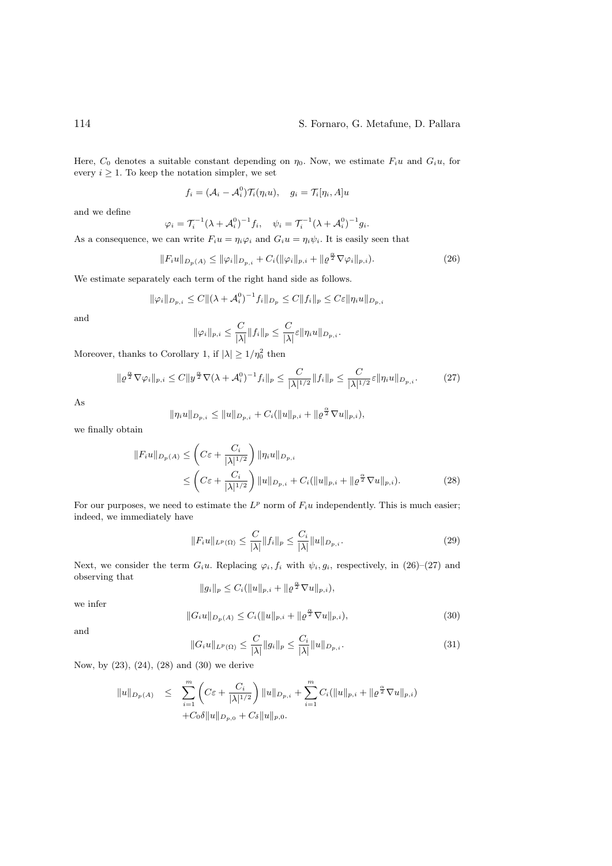Here,  $C_0$  denotes a suitable constant depending on  $\eta_0$ . Now, we estimate  $F_i u$  and  $G_i u$ , for every  $i \geq 1$ . To keep the notation simpler, we set

$$
f_i = (\mathcal{A}_i - \mathcal{A}_i^0) \mathcal{T}_i(\eta_i u), \quad g_i = \mathcal{T}_i[\eta_i, A] u
$$

and we define

$$
\varphi_i = \mathcal{T}_i^{-1}(\lambda + \mathcal{A}_i^0)^{-1} f_i, \quad \psi_i = \mathcal{T}_i^{-1}(\lambda + \mathcal{A}_i^0)^{-1} g_i.
$$

As a consequence, we can write  $F_i u = \eta_i \varphi_i$  and  $G_i u = \eta_i \psi_i$ . It is easily seen that

$$
||F_i u||_{D_p(A)} \le ||\varphi_i||_{D_{p,i}} + C_i(||\varphi_i||_{p,i} + ||\varrho^{\frac{\alpha}{2}} \nabla \varphi_i||_{p,i}).
$$
\n(26)

We estimate separately each term of the right hand side as follows.

$$
\|\varphi_i\|_{D_{p,i}} \le C\|(\lambda + \mathcal{A}_i^0)^{-1} f_i\|_{D_p} \le C\|f_i\|_p \le C\varepsilon \|\eta_i u\|_{D_{p,i}}
$$

and

$$
\|\varphi_i\|_{p,i} \leq \frac{C}{|\lambda|} \|f_i\|_p \leq \frac{C}{|\lambda|} \varepsilon \|\eta_i u\|_{D_{p,i}}.
$$

Moreover, thanks to Corollary 1, if  $|\lambda| \geq 1/\eta_0^2$  then

$$
\|\varrho^{\frac{\alpha}{2}}\nabla\varphi_i\|_{p,i} \le C \|y^{\frac{\alpha}{2}}\nabla(\lambda + \mathcal{A}_i^0)^{-1}f_i\|_p \le \frac{C}{|\lambda|^{1/2}} \|f_i\|_p \le \frac{C}{|\lambda|^{1/2}} \varepsilon \|\eta_i u\|_{D_{p,i}}.\tag{27}
$$

As

$$
\|\eta_i u\|_{D_{p,i}} \le \|u\|_{D_{p,i}} + C_i(\|u\|_{p,i} + \|\varrho^{\frac{\alpha}{2}} \nabla u\|_{p,i}),
$$

we finally obtain

$$
||F_i u||_{D_p(A)} \leq \left( C\varepsilon + \frac{C_i}{|\lambda|^{1/2}} \right) ||\eta_i u||_{D_{p,i}} \leq \left( C\varepsilon + \frac{C_i}{|\lambda|^{1/2}} \right) ||u||_{D_{p,i}} + C_i (||u||_{p,i} + ||\varrho^{\frac{\alpha}{2}} \nabla u||_{p,i}).
$$
\n(28)

For our purposes, we need to estimate the  $L^p$  norm of  $F_iu$  independently. This is much easier; indeed, we immediately have

$$
||F_i u||_{L^p(\Omega)} \le \frac{C}{|\lambda|} ||f_i||_p \le \frac{C_i}{|\lambda|} ||u||_{D_{p,i}}.
$$
\n(29)

Next, we consider the term  $G_iu$ . Replacing  $\varphi_i, f_i$  with  $\psi_i, g_i$ , respectively, in (26)–(27) and observing that

$$
||g_i||_p \leq C_i(||u||_{p,i} + ||\varrho^{\frac{\alpha}{2}} \nabla u||_{p,i}),
$$

we infer

$$
||G_iu||_{D_p(A)} \leq C_i(||u||_{p,i} + ||\varrho^{\frac{\alpha}{2}} \nabla u||_{p,i}),
$$
\n(30)

and

$$
||G_i u||_{L^p(\Omega)} \le \frac{C}{|\lambda|} ||g_i||_p \le \frac{C_i}{|\lambda|} ||u||_{D_{p,i}}.
$$
\n(31)

Now, by (23), (24), (28) and (30) we derive

$$
\|u\|_{D_p(A)} \leq \sum_{i=1}^m \left( C\varepsilon + \frac{C_i}{|\lambda|^{1/2}} \right) \|u\|_{D_{p,i}} + \sum_{i=1}^m C_i (\|u\|_{p,i} + \|\varrho^{\frac{\alpha}{2}} \nabla u\|_{p,i})
$$
  
+  $C_0 \delta \|u\|_{D_{p,0}} + C_\delta \|u\|_{p,0}.$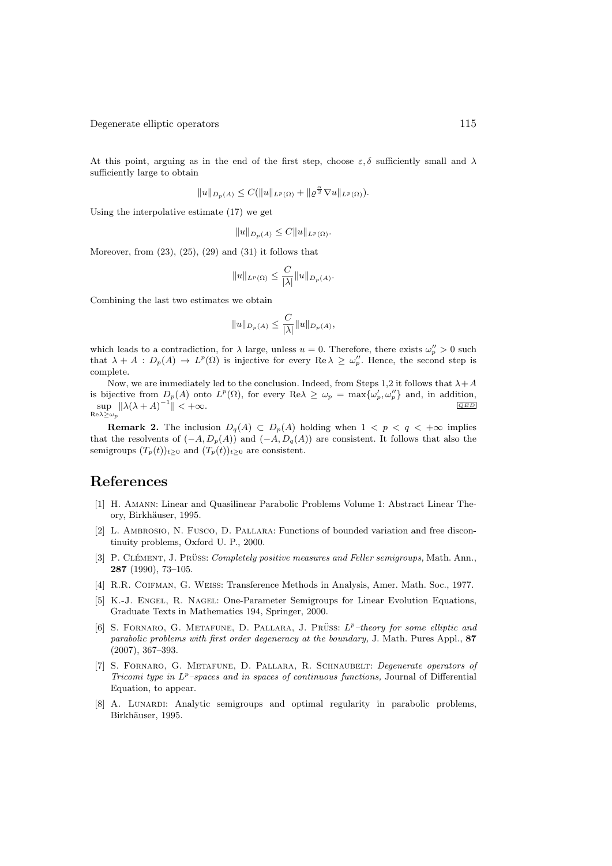At this point, arguing as in the end of the first step, choose  $\varepsilon, \delta$  sufficiently small and  $\lambda$ sufficiently large to obtain

$$
||u||_{D_p(A)} \leq C(||u||_{L^p(\Omega)} + ||\varrho^{\frac{\alpha}{2}} \nabla u||_{L^p(\Omega)}).
$$

Using the interpolative estimate (17) we get

$$
||u||_{D_p(A)} \leq C||u||_{L^p(\Omega)}.
$$

Moreover, from  $(23)$ ,  $(25)$ ,  $(29)$  and  $(31)$  it follows that

$$
||u||_{L^p(\Omega)} \leq \frac{C}{|\lambda|} ||u||_{D_p(A)}.
$$

Combining the last two estimates we obtain

$$
||u||_{D_p(A)} \leq \frac{C}{|\lambda|} ||u||_{D_p(A)},
$$

which leads to a contradiction, for  $\lambda$  large, unless  $u = 0$ . Therefore, there exists  $\omega_p'' > 0$  such that  $\lambda + A : D_p(A) \to L^p(\Omega)$  is injective for every  $\text{Re }\lambda \geq \omega_p''$ . Hence, the second step is complete.

Now, we are immediately led to the conclusion. Indeed, from Steps 1,2 it follows that  $\lambda + A$ is bijective from  $D_p(A)$  onto  $L^p(\Omega)$ , for every  $\text{Re }\lambda \geq \omega_p = \max{\{\omega'_p, \omega''_p\}}$  and, in addition,  $\sup_{\lambda \in \Lambda}$   $\|\lambda(\lambda + A)^{-1}$  $\mathrm{Re}\lambda \geq \omega_p$  $\parallel$  <  $+\infty$ .

**Remark 2.** The inclusion  $D_q(A) \subset D_p(A)$  holding when  $1 < p < q < +\infty$  implies that the resolvents of  $(-A, D_p(A))$  and  $(-A, D_q(A))$  are consistent. It follows that also the semigroups  $(T_p(t))_{t\geq 0}$  and  $(T_p(t))_{t\geq 0}$  are consistent.

## References

- [1] H. Amann: Linear and Quasilinear Parabolic Problems Volume 1: Abstract Linear Theory, Birkhäuser, 1995.
- [2] L. Ambrosio, N. Fusco, D. Pallara: Functions of bounded variation and free discontinuity problems, Oxford U. P., 2000.
- [3] P. CLÉMENT, J. PRÜSS: *Completely positive measures and Feller semigroups*, Math. Ann., 287 (1990), 73–105.
- [4] R.R. Coifman, G. Weiss: Transference Methods in Analysis, Amer. Math. Soc., 1977.
- [5] K.-J. Engel, R. Nagel: One-Parameter Semigroups for Linear Evolution Equations, Graduate Texts in Mathematics 194, Springer, 2000.
- [6] S. FORNARO, G. METAFUNE, D. PALLARA, J. PRÜSS:  $L^p$ –theory for some elliptic and *parabolic problems with first order degeneracy at the boundary,* J. Math. Pures Appl., 87 (2007), 367–393.
- [7] S. Fornaro, G. Metafune, D. Pallara, R. Schnaubelt: *Degenerate operators of Tricomi type in*  $L^p$ –spaces and in spaces of continuous functions, Journal of Differential Equation, to appear.
- [8] A. Lunardi: Analytic semigroups and optimal regularity in parabolic problems, Birkhäuser, 1995.